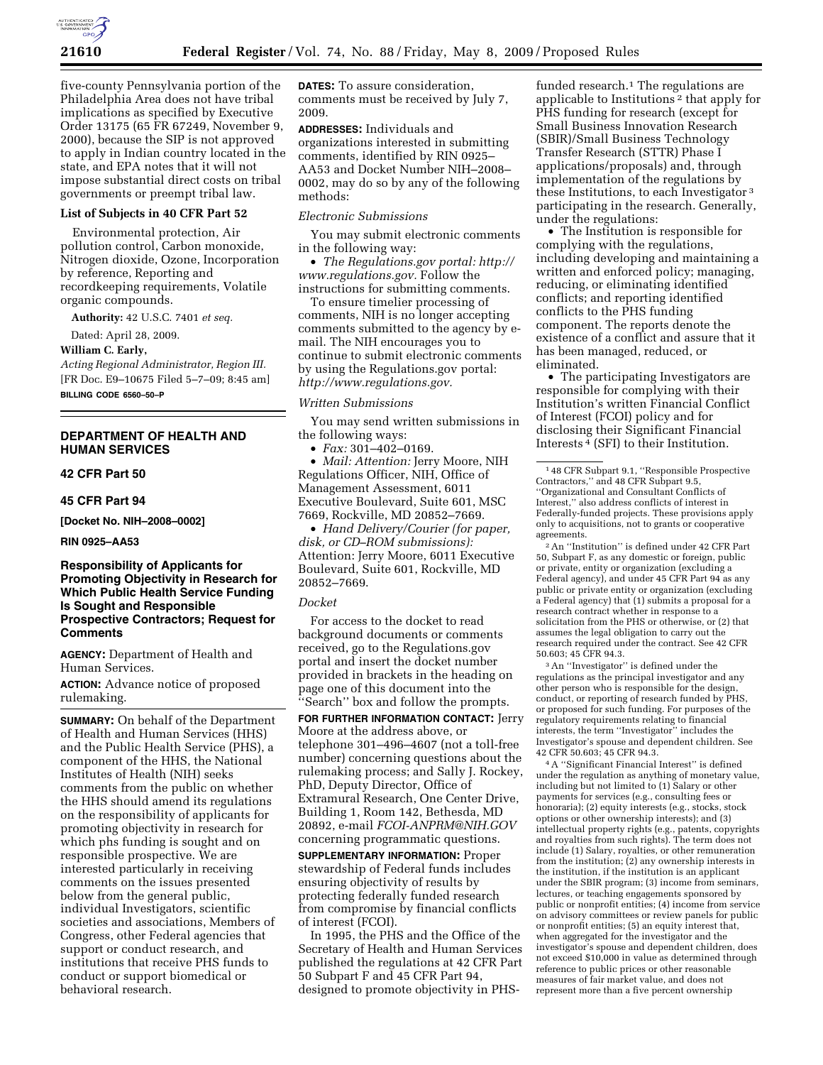

five-county Pennsylvania portion of the Philadelphia Area does not have tribal implications as specified by Executive Order 13175 (65 FR 67249, November 9, 2000), because the SIP is not approved to apply in Indian country located in the state, and EPA notes that it will not impose substantial direct costs on tribal governments or preempt tribal law.

# **List of Subjects in 40 CFR Part 52**

Environmental protection, Air pollution control, Carbon monoxide, Nitrogen dioxide, Ozone, Incorporation by reference, Reporting and recordkeeping requirements, Volatile organic compounds.

**Authority:** 42 U.S.C. 7401 *et seq.* 

Dated: April 28, 2009.

**William C. Early,** 

*Acting Regional Administrator, Region III.*  [FR Doc. E9–10675 Filed 5–7–09; 8:45 am]

**BILLING CODE 6560–50–P** 

# **DEPARTMENT OF HEALTH AND HUMAN SERVICES**

**42 CFR Part 50** 

**45 CFR Part 94** 

**[Docket No. NIH–2008–0002]** 

**RIN 0925–AA53** 

# **Responsibility of Applicants for Promoting Objectivity in Research for Which Public Health Service Funding Is Sought and Responsible Prospective Contractors; Request for Comments**

**AGENCY:** Department of Health and Human Services.

**ACTION:** Advance notice of proposed rulemaking.

**SUMMARY:** On behalf of the Department of Health and Human Services (HHS) and the Public Health Service (PHS), a component of the HHS, the National Institutes of Health (NIH) seeks comments from the public on whether the HHS should amend its regulations on the responsibility of applicants for promoting objectivity in research for which phs funding is sought and on responsible prospective. We are interested particularly in receiving comments on the issues presented below from the general public, individual Investigators, scientific societies and associations, Members of Congress, other Federal agencies that support or conduct research, and institutions that receive PHS funds to conduct or support biomedical or behavioral research.

**DATES:** To assure consideration, comments must be received by July 7, 2009.

**ADDRESSES:** Individuals and organizations interested in submitting comments, identified by RIN 0925– AA53 and Docket Number NIH–2008– 0002, may do so by any of the following methods:

#### *Electronic Submissions*

You may submit electronic comments in the following way:

• *The Regulations.gov portal: http:// www.regulations.gov.* Follow the instructions for submitting comments.

To ensure timelier processing of comments, NIH is no longer accepting comments submitted to the agency by email. The NIH encourages you to continue to submit electronic comments by using the Regulations.gov portal: *http://www.regulations.gov.* 

#### *Written Submissions*

You may send written submissions in the following ways:

• *Fax:* 301–402–0169.

• *Mail: Attention:* Jerry Moore, NIH Regulations Officer, NIH, Office of Management Assessment, 6011 Executive Boulevard, Suite 601, MSC 7669, Rockville, MD 20852–7669.

• *Hand Delivery/Courier (for paper, disk, or CD–ROM submissions):*  Attention: Jerry Moore, 6011 Executive Boulevard, Suite 601, Rockville, MD 20852–7669.

#### *Docket*

For access to the docket to read background documents or comments received, go to the Regulations.gov portal and insert the docket number provided in brackets in the heading on page one of this document into the ''Search'' box and follow the prompts.

**FOR FURTHER INFORMATION CONTACT:** Jerry Moore at the address above, or telephone 301–496–4607 (not a toll-free number) concerning questions about the rulemaking process; and Sally J. Rockey, PhD, Deputy Director, Office of Extramural Research, One Center Drive, Building 1, Room 142, Bethesda, MD 20892, e-mail *FCOI-ANPRM@NIH.GOV*  concerning programmatic questions.

**SUPPLEMENTARY INFORMATION:** Proper stewardship of Federal funds includes ensuring objectivity of results by protecting federally funded research from compromise by financial conflicts of interest (FCOI).

In 1995, the PHS and the Office of the Secretary of Health and Human Services published the regulations at 42 CFR Part 50 Subpart F and 45 CFR Part 94, designed to promote objectivity in PHS-

funded research. $1$  The regulations are applicable to Institutions 2 that apply for PHS funding for research (except for Small Business Innovation Research (SBIR)/Small Business Technology Transfer Research (STTR) Phase I applications/proposals) and, through implementation of the regulations by these Institutions, to each Investigator 3 participating in the research. Generally, under the regulations:

• The Institution is responsible for complying with the regulations, including developing and maintaining a written and enforced policy; managing, reducing, or eliminating identified conflicts; and reporting identified conflicts to the PHS funding component. The reports denote the existence of a conflict and assure that it has been managed, reduced, or eliminated.

• The participating Investigators are responsible for complying with their Institution's written Financial Conflict of Interest (FCOI) policy and for disclosing their Significant Financial Interests 4 (SFI) to their Institution.

2An ''Institution'' is defined under 42 CFR Part 50, Subpart F, as any domestic or foreign, public or private, entity or organization (excluding a Federal agency), and under 45 CFR Part 94 as any public or private entity or organization (excluding a Federal agency) that (1) submits a proposal for a research contract whether in response to a solicitation from the PHS or otherwise, or (2) that assumes the legal obligation to carry out the research required under the contract. See 42 CFR 50.603; 45 CFR 94.3.

3An ''Investigator'' is defined under the regulations as the principal investigator and any other person who is responsible for the design, conduct, or reporting of research funded by PHS, or proposed for such funding. For purposes of the regulatory requirements relating to financial interests, the term ''Investigator'' includes the Investigator's spouse and dependent children. See 42 CFR 50.603; 45 CFR 94.3.

4A ''Significant Financial Interest'' is defined under the regulation as anything of monetary value, including but not limited to (1) Salary or other payments for services (e.g., consulting fees or honoraria); (2) equity interests (e.g., stocks, stock options or other ownership interests); and (3) intellectual property rights (e.g., patents, copyrights and royalties from such rights). The term does not include (1) Salary, royalties, or other remuneration from the institution; (2) any ownership interests in the institution, if the institution is an applicant under the SBIR program; (3) income from seminars, lectures, or teaching engagements sponsored by public or nonprofit entities; (4) income from service on advisory committees or review panels for public or nonprofit entities; (5) an equity interest that, when aggregated for the investigator and the investigator's spouse and dependent children, does not exceed \$10,000 in value as determined through reference to public prices or other reasonable measures of fair market value, and does not represent more than a five percent ownership

<sup>1</sup> 48 CFR Subpart 9.1, ''Responsible Prospective Contractors,'' and 48 CFR Subpart 9.5, ''Organizational and Consultant Conflicts of Interest,'' also address conflicts of interest in Federally-funded projects. These provisions apply only to acquisitions, not to grants or cooperative agreements.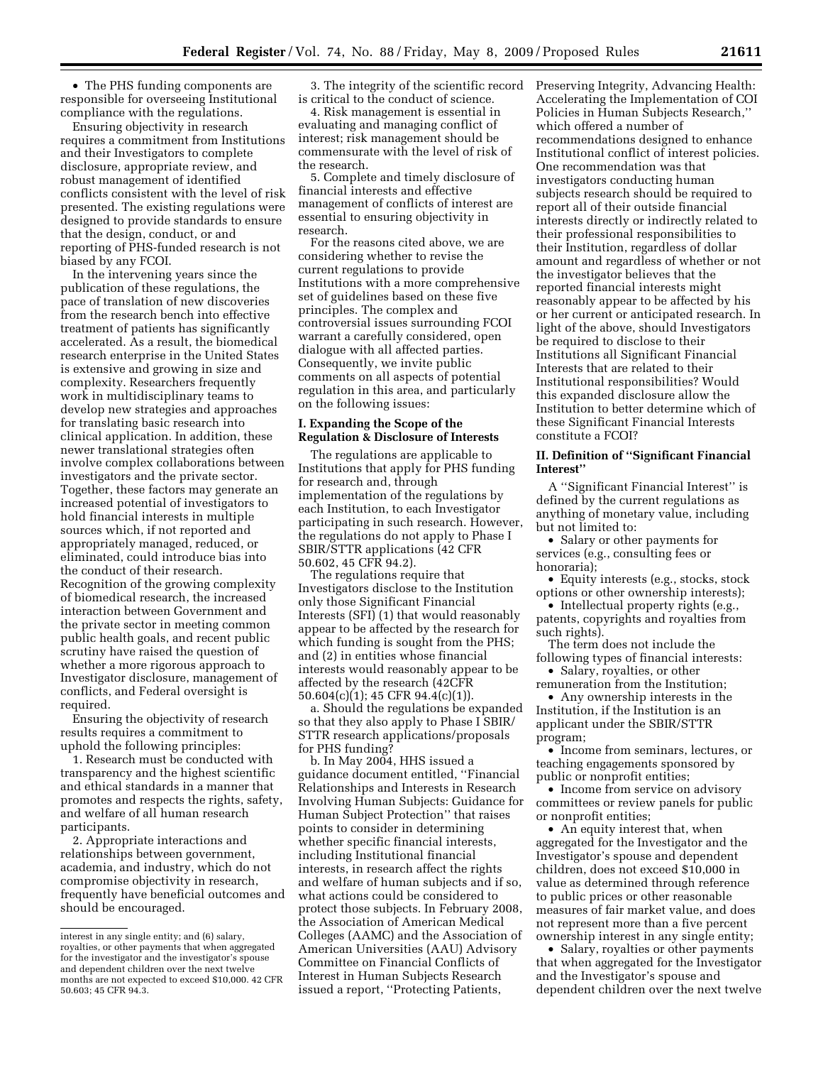• The PHS funding components are responsible for overseeing Institutional compliance with the regulations.

Ensuring objectivity in research requires a commitment from Institutions and their Investigators to complete disclosure, appropriate review, and robust management of identified conflicts consistent with the level of risk presented. The existing regulations were designed to provide standards to ensure that the design, conduct, or and reporting of PHS-funded research is not biased by any FCOI.

In the intervening years since the publication of these regulations, the pace of translation of new discoveries from the research bench into effective treatment of patients has significantly accelerated. As a result, the biomedical research enterprise in the United States is extensive and growing in size and complexity. Researchers frequently work in multidisciplinary teams to develop new strategies and approaches for translating basic research into clinical application. In addition, these newer translational strategies often involve complex collaborations between investigators and the private sector. Together, these factors may generate an increased potential of investigators to hold financial interests in multiple sources which, if not reported and appropriately managed, reduced, or eliminated, could introduce bias into the conduct of their research. Recognition of the growing complexity of biomedical research, the increased interaction between Government and the private sector in meeting common public health goals, and recent public scrutiny have raised the question of whether a more rigorous approach to Investigator disclosure, management of conflicts, and Federal oversight is required.

Ensuring the objectivity of research results requires a commitment to uphold the following principles:

1. Research must be conducted with transparency and the highest scientific and ethical standards in a manner that promotes and respects the rights, safety, and welfare of all human research participants.

2. Appropriate interactions and relationships between government, academia, and industry, which do not compromise objectivity in research, frequently have beneficial outcomes and should be encouraged.

3. The integrity of the scientific record is critical to the conduct of science.

4. Risk management is essential in evaluating and managing conflict of interest; risk management should be commensurate with the level of risk of the research.

5. Complete and timely disclosure of financial interests and effective management of conflicts of interest are essential to ensuring objectivity in research.

For the reasons cited above, we are considering whether to revise the current regulations to provide Institutions with a more comprehensive set of guidelines based on these five principles. The complex and controversial issues surrounding FCOI warrant a carefully considered, open dialogue with all affected parties. Consequently, we invite public comments on all aspects of potential regulation in this area, and particularly on the following issues:

# **I. Expanding the Scope of the Regulation & Disclosure of Interests**

The regulations are applicable to Institutions that apply for PHS funding for research and, through implementation of the regulations by each Institution, to each Investigator participating in such research. However, the regulations do not apply to Phase I SBIR/STTR applications (42 CFR 50.602, 45 CFR 94.2).

The regulations require that Investigators disclose to the Institution only those Significant Financial Interests (SFI) (1) that would reasonably appear to be affected by the research for which funding is sought from the PHS; and (2) in entities whose financial interests would reasonably appear to be affected by the research (42CFR 50.604(c)(1); 45 CFR 94.4(c)(1)).

a. Should the regulations be expanded so that they also apply to Phase I SBIR/ STTR research applications/proposals for PHS funding?

b. In May 2004, HHS issued a guidance document entitled, ''Financial Relationships and Interests in Research Involving Human Subjects: Guidance for Human Subject Protection'' that raises points to consider in determining whether specific financial interests, including Institutional financial interests, in research affect the rights and welfare of human subjects and if so, what actions could be considered to protect those subjects. In February 2008, the Association of American Medical Colleges (AAMC) and the Association of American Universities (AAU) Advisory Committee on Financial Conflicts of Interest in Human Subjects Research issued a report, ''Protecting Patients,

Preserving Integrity, Advancing Health: Accelerating the Implementation of COI Policies in Human Subjects Research,'' which offered a number of recommendations designed to enhance Institutional conflict of interest policies. One recommendation was that investigators conducting human subjects research should be required to report all of their outside financial interests directly or indirectly related to their professional responsibilities to their Institution, regardless of dollar amount and regardless of whether or not the investigator believes that the reported financial interests might reasonably appear to be affected by his or her current or anticipated research. In light of the above, should Investigators be required to disclose to their Institutions all Significant Financial Interests that are related to their Institutional responsibilities? Would this expanded disclosure allow the Institution to better determine which of these Significant Financial Interests constitute a FCOI?

## **II. Definition of ''Significant Financial Interest''**

A ''Significant Financial Interest'' is defined by the current regulations as anything of monetary value, including but not limited to:

• Salary or other payments for services (e.g., consulting fees or honoraria);

- Equity interests (e.g., stocks, stock options or other ownership interests);
- Intellectual property rights (e.g., patents, copyrights and royalties from such rights).
- The term does not include the following types of financial interests:
- Salary, royalties, or other remuneration from the Institution;

• Any ownership interests in the Institution, if the Institution is an applicant under the SBIR/STTR program;

• Income from seminars, lectures, or teaching engagements sponsored by public or nonprofit entities;

• Income from service on advisory committees or review panels for public or nonprofit entities;

• An equity interest that, when aggregated for the Investigator and the Investigator's spouse and dependent children, does not exceed \$10,000 in value as determined through reference to public prices or other reasonable measures of fair market value, and does not represent more than a five percent ownership interest in any single entity;

• Salary, royalties or other payments that when aggregated for the Investigator and the Investigator's spouse and dependent children over the next twelve

interest in any single entity; and (6) salary, royalties, or other payments that when aggregated for the investigator and the investigator's spouse and dependent children over the next twelve months are not expected to exceed \$10,000. 42 CFR 50.603; 45 CFR 94.3.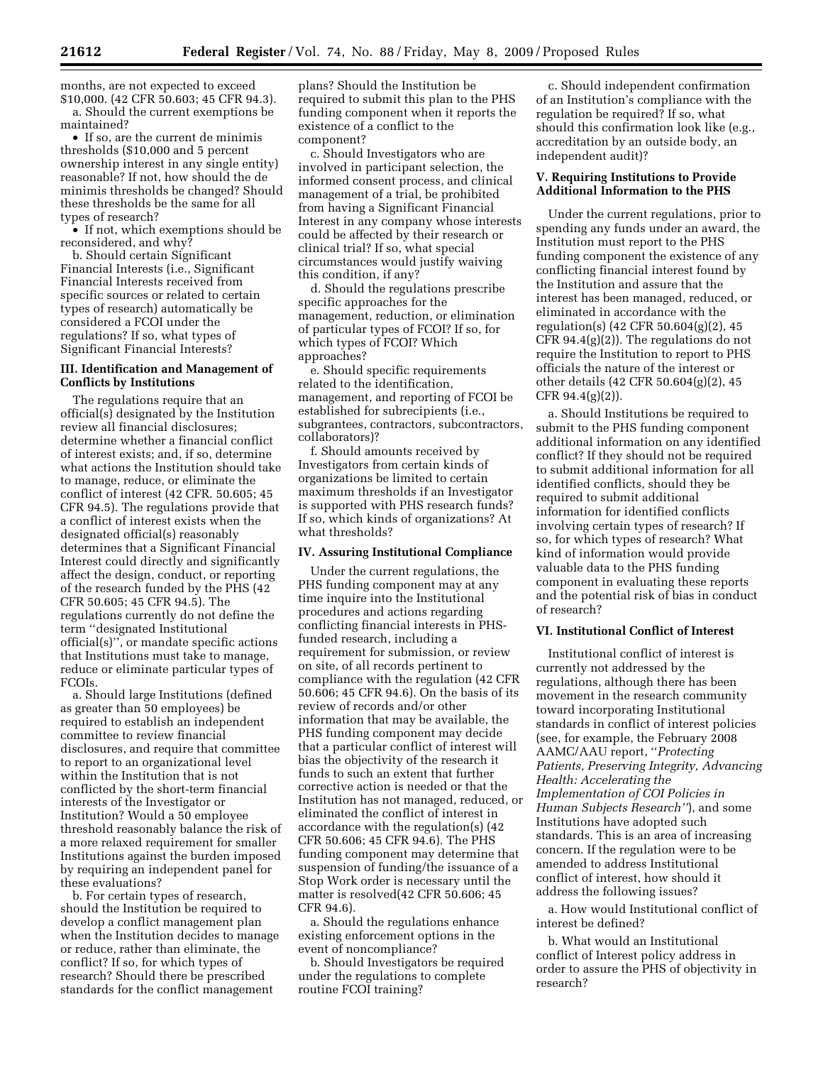months, are not expected to exceed \$10,000. (42 CFR 50.603; 45 CFR 94.3). a. Should the current exemptions be maintained?

• If so, are the current de minimis thresholds (\$10,000 and 5 percent ownership interest in any single entity) reasonable? If not, how should the de minimis thresholds be changed? Should these thresholds be the same for all types of research?

• If not, which exemptions should be reconsidered, and why?

b. Should certain Significant Financial Interests (i.e., Significant Financial Interests received from specific sources or related to certain types of research) automatically be considered a FCOI under the regulations? If so, what types of Significant Financial Interests?

## **III. Identification and Management of Conflicts by Institutions**

The regulations require that an official(s) designated by the Institution review all financial disclosures; determine whether a financial conflict of interest exists; and, if so, determine what actions the Institution should take to manage, reduce, or eliminate the conflict of interest (42 CFR. 50.605; 45 CFR 94.5). The regulations provide that a conflict of interest exists when the designated official(s) reasonably determines that a Significant Financial Interest could directly and significantly affect the design, conduct, or reporting of the research funded by the PHS (42 CFR 50.605; 45 CFR 94.5). The regulations currently do not define the term ''designated Institutional official(s)'', or mandate specific actions that Institutions must take to manage, reduce or eliminate particular types of FCOIs.

a. Should large Institutions (defined as greater than 50 employees) be required to establish an independent committee to review financial disclosures, and require that committee to report to an organizational level within the Institution that is not conflicted by the short-term financial interests of the Investigator or Institution? Would a 50 employee threshold reasonably balance the risk of a more relaxed requirement for smaller Institutions against the burden imposed by requiring an independent panel for these evaluations?

b. For certain types of research, should the Institution be required to develop a conflict management plan when the Institution decides to manage or reduce, rather than eliminate, the conflict? If so, for which types of research? Should there be prescribed standards for the conflict management

plans? Should the Institution be required to submit this plan to the PHS funding component when it reports the existence of a conflict to the component?

c. Should Investigators who are involved in participant selection, the informed consent process, and clinical management of a trial, be prohibited from having a Significant Financial Interest in any company whose interests could be affected by their research or clinical trial? If so, what special circumstances would justify waiving this condition, if any?

d. Should the regulations prescribe specific approaches for the management, reduction, or elimination of particular types of FCOI? If so, for which types of FCOI? Which approaches?

e. Should specific requirements related to the identification, management, and reporting of FCOI be established for subrecipients (i.e., subgrantees, contractors, subcontractors, collaborators)?

f. Should amounts received by Investigators from certain kinds of organizations be limited to certain maximum thresholds if an Investigator is supported with PHS research funds? If so, which kinds of organizations? At what thresholds?

#### **IV. Assuring Institutional Compliance**

Under the current regulations, the PHS funding component may at any time inquire into the Institutional procedures and actions regarding conflicting financial interests in PHSfunded research, including a requirement for submission, or review on site, of all records pertinent to compliance with the regulation (42 CFR 50.606; 45 CFR 94.6). On the basis of its review of records and/or other information that may be available, the PHS funding component may decide that a particular conflict of interest will bias the objectivity of the research it funds to such an extent that further corrective action is needed or that the Institution has not managed, reduced, or eliminated the conflict of interest in accordance with the regulation(s) (42 CFR 50.606; 45 CFR 94.6). The PHS funding component may determine that suspension of funding/the issuance of a Stop Work order is necessary until the matter is resolved(42 CFR 50.606; 45 CFR 94.6).

a. Should the regulations enhance existing enforcement options in the event of noncompliance?

b. Should Investigators be required under the regulations to complete routine FCOI training?

c. Should independent confirmation of an Institution's compliance with the regulation be required? If so, what should this confirmation look like (e.g., accreditation by an outside body, an independent audit)?

# **V. Requiring Institutions to Provide Additional Information to the PHS**

Under the current regulations, prior to spending any funds under an award, the Institution must report to the PHS funding component the existence of any conflicting financial interest found by the Institution and assure that the interest has been managed, reduced, or eliminated in accordance with the regulation(s) (42 CFR 50.604(g)(2), 45 CFR 94.4(g)(2)). The regulations do not require the Institution to report to PHS officials the nature of the interest or other details (42 CFR 50.604(g)(2), 45 CFR 94.4(g)(2)).

a. Should Institutions be required to submit to the PHS funding component additional information on any identified conflict? If they should not be required to submit additional information for all identified conflicts, should they be required to submit additional information for identified conflicts involving certain types of research? If so, for which types of research? What kind of information would provide valuable data to the PHS funding component in evaluating these reports and the potential risk of bias in conduct of research?

### **VI. Institutional Conflict of Interest**

Institutional conflict of interest is currently not addressed by the regulations, although there has been movement in the research community toward incorporating Institutional standards in conflict of interest policies (see, for example, the February 2008 AAMC/AAU report, ''*Protecting Patients, Preserving Integrity, Advancing Health: Accelerating the Implementation of COI Policies in Human Subjects Research''*), and some Institutions have adopted such standards. This is an area of increasing concern. If the regulation were to be amended to address Institutional conflict of interest, how should it address the following issues?

a. How would Institutional conflict of interest be defined?

b. What would an Institutional conflict of Interest policy address in order to assure the PHS of objectivity in research?